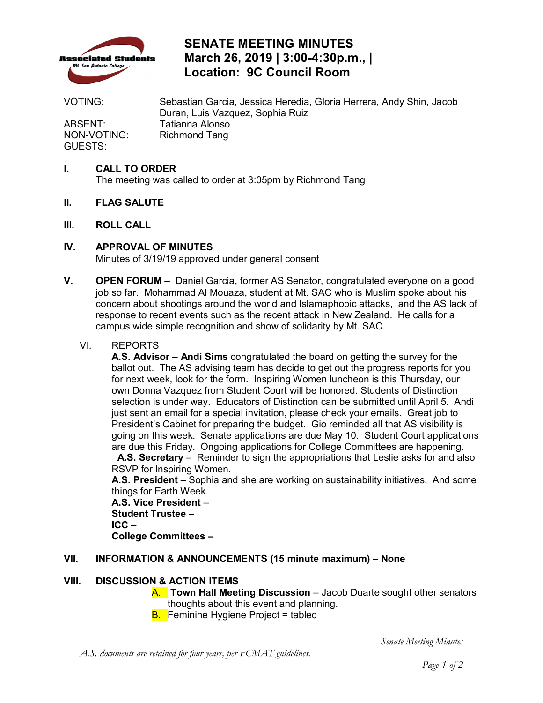

### **SENATE MEETING MINUTES March 26, 2019 | 3:00-4:30p.m., | Location: 9C Council Room**

ABSENT: Tatianna Alonso<br>NON-VOTING: Richmond Tang GUESTS:

 VOTING: Sebastian Garcia, Jessica Heredia, Gloria Herrera, Andy Shin, Jacob Duran, Luis Vazquez, Sophia Ruiz Richmond Tang

### **I. CALL TO ORDER**

The meeting was called to order at 3:05pm by Richmond Tang

- **II. FLAG SALUTE**
- **III. ROLL CALL**

### **IV. APPROVAL OF MINUTES**

Minutes of 3/19/19 approved under general consent

 **V. OPEN FORUM –** Daniel Garcia, former AS Senator, congratulated everyone on a good job so far. Mohammad Al Mouaza, student at Mt. SAC who is Muslim spoke about his concern about shootings around the world and Islamaphobic attacks, and the AS lack of response to recent events such as the recent attack in New Zealand. He calls for a campus wide simple recognition and show of solidarity by Mt. SAC.

### VI. REPORTS

 for next week, look for the form. Inspiring Women luncheon is this Thursday, our selection is under way. Educators of Distinction can be submitted until April 5. Andi just sent an email for a special invitation, please check your emails. Great job to President's Cabinet for preparing the budget. Gio reminded all that AS visibility is going on this week. Senate applications are due May 10. Student Court applications are due this Friday. Ongoing applications for College Committees are happening. **A.S. Advisor – Andi Sims** congratulated the board on getting the survey for the ballot out. The AS advising team has decide to get out the progress reports for you own Donna Vazquez from Student Court will be honored. Students of Distinction

 RSVP for Inspiring Women. **A.S. Secretary** – Reminder to sign the appropriations that Leslie asks for and also

 **A.S. President** – Sophia and she are working on sustainability initiatives. And some things for Earth Week.

 **A.S. Vice President** – **Student Trustee -** $ICC -$ **College Committees -**

# **Student Trustee – ICC – College Committees – VII. INFORMATION & ANNOUNCEMENTS (15 minute maximum) – None**

### **VIII. DISCUSSION & ACTION ITEMS**

- A. **Town Hall Meeting Discussion**  Jacob Duarte sought other senators thoughts about this event and planning. thoughts about this event and planning.<br><mark>B. </mark>Feminine Hygiene Project = tabled
- 

*A.S. documents are retained for four years, per FCMAT guidelines.* 

*Senate Meeting Minutes*